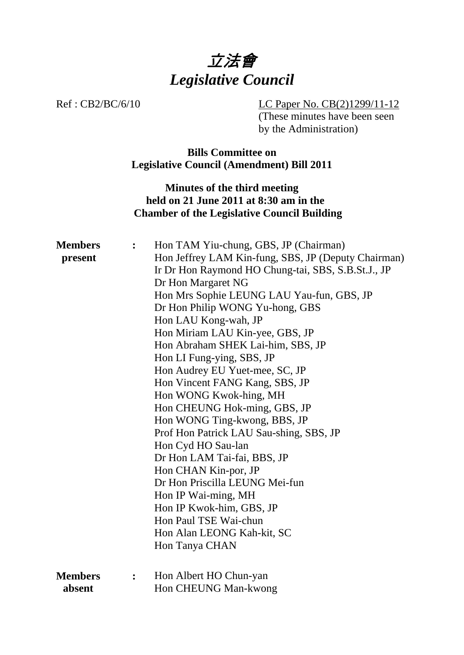

Ref : CB2/BC/6/10 LC Paper No. CB(2)1299/11-12 (These minutes have been seen by the Administration)

> **Bills Committee on Legislative Council (Amendment) Bill 2011**

**Minutes of the third meeting held on 21 June 2011 at 8:30 am in the Chamber of the Legislative Council Building** 

| <b>Members</b><br>present | $\ddot{\cdot}$ | Hon TAM Yiu-chung, GBS, JP (Chairman)<br>Hon Jeffrey LAM Kin-fung, SBS, JP (Deputy Chairman) |
|---------------------------|----------------|----------------------------------------------------------------------------------------------|
|                           |                | Ir Dr Hon Raymond HO Chung-tai, SBS, S.B.St.J., JP                                           |
|                           |                | Dr Hon Margaret NG                                                                           |
|                           |                | Hon Mrs Sophie LEUNG LAU Yau-fun, GBS, JP                                                    |
|                           |                | Dr Hon Philip WONG Yu-hong, GBS                                                              |
|                           |                | Hon LAU Kong-wah, JP                                                                         |
|                           |                | Hon Miriam LAU Kin-yee, GBS, JP                                                              |
|                           |                | Hon Abraham SHEK Lai-him, SBS, JP                                                            |
|                           |                | Hon LI Fung-ying, SBS, JP                                                                    |
|                           |                | Hon Audrey EU Yuet-mee, SC, JP                                                               |
|                           |                | Hon Vincent FANG Kang, SBS, JP                                                               |
|                           |                | Hon WONG Kwok-hing, MH                                                                       |
|                           |                | Hon CHEUNG Hok-ming, GBS, JP                                                                 |
|                           |                | Hon WONG Ting-kwong, BBS, JP                                                                 |
|                           |                | Prof Hon Patrick LAU Sau-shing, SBS, JP                                                      |
|                           |                | Hon Cyd HO Sau-lan                                                                           |
|                           |                | Dr Hon LAM Tai-fai, BBS, JP                                                                  |
|                           |                | Hon CHAN Kin-por, JP                                                                         |
|                           |                | Dr Hon Priscilla LEUNG Mei-fun                                                               |
|                           |                | Hon IP Wai-ming, MH                                                                          |
|                           |                | Hon IP Kwok-him, GBS, JP                                                                     |
|                           |                | Hon Paul TSE Wai-chun                                                                        |
|                           |                | Hon Alan LEONG Kah-kit, SC                                                                   |
|                           |                | Hon Tanya CHAN                                                                               |
| <b>Members</b>            | :              | Hon Albert HO Chun-yan                                                                       |
| absent                    |                | Hon CHEUNG Man-kwong                                                                         |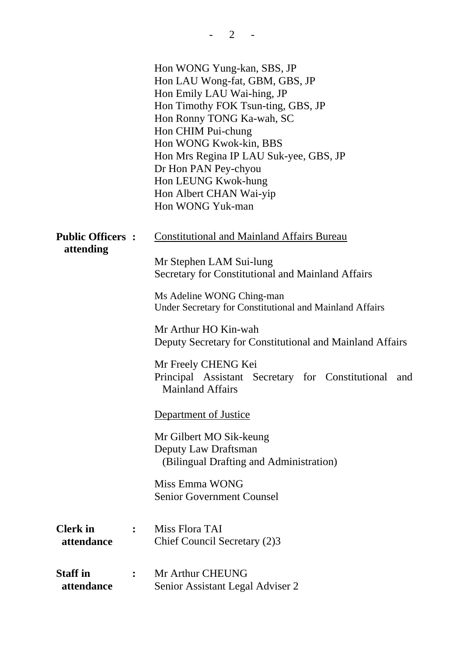|                                      |                | Hon WONG Yung-kan, SBS, JP<br>Hon LAU Wong-fat, GBM, GBS, JP<br>Hon Emily LAU Wai-hing, JP<br>Hon Timothy FOK Tsun-ting, GBS, JP<br>Hon Ronny TONG Ka-wah, SC<br>Hon CHIM Pui-chung<br>Hon WONG Kwok-kin, BBS<br>Hon Mrs Regina IP LAU Suk-yee, GBS, JP<br>Dr Hon PAN Pey-chyou<br>Hon LEUNG Kwok-hung<br>Hon Albert CHAN Wai-yip<br>Hon WONG Yuk-man |
|--------------------------------------|----------------|-------------------------------------------------------------------------------------------------------------------------------------------------------------------------------------------------------------------------------------------------------------------------------------------------------------------------------------------------------|
| <b>Public Officers:</b><br>attending |                | <b>Constitutional and Mainland Affairs Bureau</b><br>Mr Stephen LAM Sui-lung                                                                                                                                                                                                                                                                          |
|                                      |                | Secretary for Constitutional and Mainland Affairs                                                                                                                                                                                                                                                                                                     |
|                                      |                | Ms Adeline WONG Ching-man<br>Under Secretary for Constitutional and Mainland Affairs                                                                                                                                                                                                                                                                  |
|                                      |                | Mr Arthur HO Kin-wah<br>Deputy Secretary for Constitutional and Mainland Affairs                                                                                                                                                                                                                                                                      |
|                                      |                | Mr Freely CHENG Kei<br>Principal Assistant Secretary for Constitutional<br>and<br><b>Mainland Affairs</b>                                                                                                                                                                                                                                             |
|                                      |                | Department of Justice                                                                                                                                                                                                                                                                                                                                 |
|                                      |                | Mr Gilbert MO Sik-keung<br>Deputy Law Draftsman<br>(Bilingual Drafting and Administration)                                                                                                                                                                                                                                                            |
|                                      |                | Miss Emma WONG<br><b>Senior Government Counsel</b>                                                                                                                                                                                                                                                                                                    |
| <b>Clerk</b> in<br>attendance        | $\ddot{\cdot}$ | Miss Flora TAI<br>Chief Council Secretary (2)3                                                                                                                                                                                                                                                                                                        |
| <b>Staff</b> in<br>attendance        |                | Mr Arthur CHEUNG<br>Senior Assistant Legal Adviser 2                                                                                                                                                                                                                                                                                                  |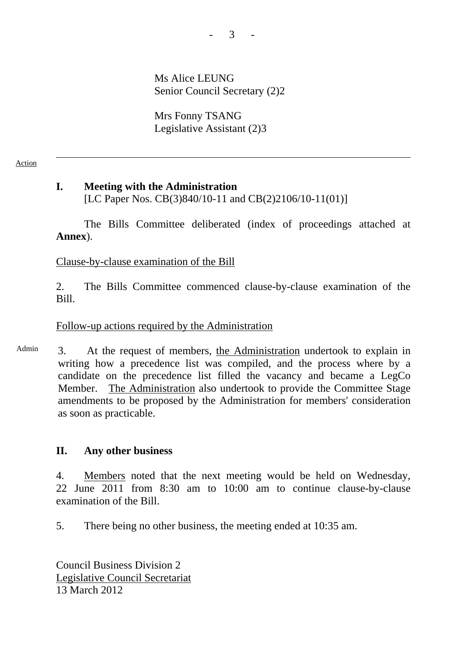Ms Alice LEUNG Senior Council Secretary (2)2

Mrs Fonny TSANG Legislative Assistant (2)3

### Action

# **I. Meeting with the Administration**  [LC Paper Nos. CB(3)840/10-11 and CB(2)2106/10-11(01)]

The Bills Committee deliberated (index of proceedings attached at **Annex**).

Clause-by-clause examination of the Bill

2. The Bills Committee commenced clause-by-clause examination of the Bill.

# Follow-up actions required by the Administration

Admin 3. At the request of members, the Administration undertook to explain in writing how a precedence list was compiled, and the process where by a candidate on the precedence list filled the vacancy and became a LegCo Member. The Administration also undertook to provide the Committee Stage amendments to be proposed by the Administration for members' consideration as soon as practicable.

### **II. Any other business**

4. Members noted that the next meeting would be held on Wednesday, 22 June 2011 from 8:30 am to 10:00 am to continue clause-by-clause examination of the Bill.

5. There being no other business, the meeting ended at 10:35 am.

Council Business Division 2 Legislative Council Secretariat 13 March 2012

- 3 -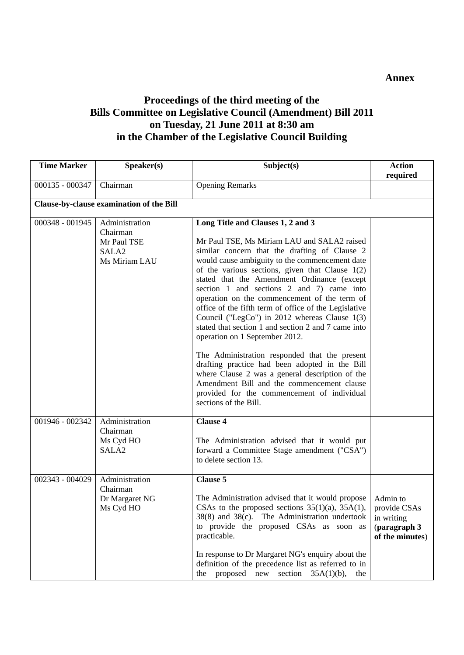# **Proceedings of the third meeting of the Bills Committee on Legislative Council (Amendment) Bill 2011 on Tuesday, 21 June 2011 at 8:30 am in the Chamber of the Legislative Council Building**

| <b>Time Marker</b> | Speaker(s)                                                                      | Subject(s)                                                                                                                                                                                                                                                                                                                                                                                                                                                                                                                                                                                                                                                                                                                                                                                                                                                          | <b>Action</b><br>required                                                 |
|--------------------|---------------------------------------------------------------------------------|---------------------------------------------------------------------------------------------------------------------------------------------------------------------------------------------------------------------------------------------------------------------------------------------------------------------------------------------------------------------------------------------------------------------------------------------------------------------------------------------------------------------------------------------------------------------------------------------------------------------------------------------------------------------------------------------------------------------------------------------------------------------------------------------------------------------------------------------------------------------|---------------------------------------------------------------------------|
| 000135 - 000347    | Chairman                                                                        | <b>Opening Remarks</b>                                                                                                                                                                                                                                                                                                                                                                                                                                                                                                                                                                                                                                                                                                                                                                                                                                              |                                                                           |
|                    | Clause-by-clause examination of the Bill                                        |                                                                                                                                                                                                                                                                                                                                                                                                                                                                                                                                                                                                                                                                                                                                                                                                                                                                     |                                                                           |
| 000348 - 001945    | Administration<br>Chairman<br>Mr Paul TSE<br>SALA <sub>2</sub><br>Ms Miriam LAU | Long Title and Clauses 1, 2 and 3<br>Mr Paul TSE, Ms Miriam LAU and SALA2 raised<br>similar concern that the drafting of Clause 2<br>would cause ambiguity to the commencement date<br>of the various sections, given that Clause $1(2)$<br>stated that the Amendment Ordinance (except<br>section 1 and sections 2 and 7) came into<br>operation on the commencement of the term of<br>office of the fifth term of office of the Legislative<br>Council ("LegCo") in 2012 whereas Clause 1(3)<br>stated that section 1 and section 2 and 7 came into<br>operation on 1 September 2012.<br>The Administration responded that the present<br>drafting practice had been adopted in the Bill<br>where Clause 2 was a general description of the<br>Amendment Bill and the commencement clause<br>provided for the commencement of individual<br>sections of the Bill. |                                                                           |
| 001946 - 002342    | Administration<br>Chairman<br>Ms Cyd HO<br>SALA <sub>2</sub>                    | <b>Clause 4</b><br>The Administration advised that it would put<br>forward a Committee Stage amendment ("CSA")<br>to delete section 13.                                                                                                                                                                                                                                                                                                                                                                                                                                                                                                                                                                                                                                                                                                                             |                                                                           |
| 002343 - 004029    | Administration<br>Chairman<br>Dr Margaret NG<br>Ms Cyd HO                       | <b>Clause 5</b><br>The Administration advised that it would propose<br>CSAs to the proposed sections $35(1)(a)$ , $35A(1)$ ,<br>38(8) and 38(c). The Administration undertook<br>to provide the proposed CSAs as soon as<br>practicable.<br>In response to Dr Margaret NG's enquiry about the<br>definition of the precedence list as referred to in<br>proposed new<br>section<br>$35A(1)(b)$ ,<br>the<br>the                                                                                                                                                                                                                                                                                                                                                                                                                                                      | Admin to<br>provide CSAs<br>in writing<br>(paragraph 3<br>of the minutes) |

### **Annex**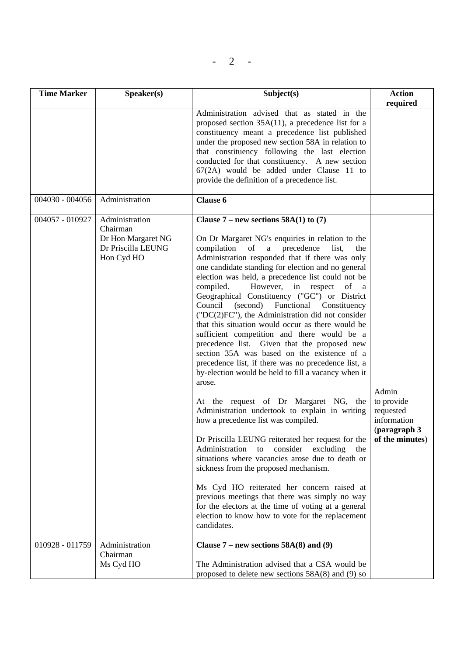| <b>Time Marker</b> | S <sub>p</sub> e <sub>aker</sub> (s)                                                 | Subject(s)                                                                                                                                                                                                                                                                                                                                                                                                                                                                                                                                                                                                                                                                                                                                                                                                                                                                                                                                                                                                                                                                                                                                                                                                                                                                                                                                                                                                                 | <b>Action</b>                                                                      |
|--------------------|--------------------------------------------------------------------------------------|----------------------------------------------------------------------------------------------------------------------------------------------------------------------------------------------------------------------------------------------------------------------------------------------------------------------------------------------------------------------------------------------------------------------------------------------------------------------------------------------------------------------------------------------------------------------------------------------------------------------------------------------------------------------------------------------------------------------------------------------------------------------------------------------------------------------------------------------------------------------------------------------------------------------------------------------------------------------------------------------------------------------------------------------------------------------------------------------------------------------------------------------------------------------------------------------------------------------------------------------------------------------------------------------------------------------------------------------------------------------------------------------------------------------------|------------------------------------------------------------------------------------|
|                    |                                                                                      |                                                                                                                                                                                                                                                                                                                                                                                                                                                                                                                                                                                                                                                                                                                                                                                                                                                                                                                                                                                                                                                                                                                                                                                                                                                                                                                                                                                                                            | required                                                                           |
|                    |                                                                                      | Administration advised that as stated in the<br>proposed section $35A(11)$ , a precedence list for a<br>constituency meant a precedence list published<br>under the proposed new section 58A in relation to<br>that constituency following the last election<br>conducted for that constituency. A new section<br>67(2A) would be added under Clause 11 to<br>provide the definition of a precedence list.                                                                                                                                                                                                                                                                                                                                                                                                                                                                                                                                                                                                                                                                                                                                                                                                                                                                                                                                                                                                                 |                                                                                    |
| 004030 - 004056    | Administration                                                                       | Clause 6                                                                                                                                                                                                                                                                                                                                                                                                                                                                                                                                                                                                                                                                                                                                                                                                                                                                                                                                                                                                                                                                                                                                                                                                                                                                                                                                                                                                                   |                                                                                    |
| 004057 - 010927    | Administration<br>Chairman<br>Dr Hon Margaret NG<br>Dr Priscilla LEUNG<br>Hon Cyd HO | Clause $7$ – new sections 58A(1) to (7)<br>On Dr Margaret NG's enquiries in relation to the<br>compilation of<br>a<br>precedence<br>list,<br>the<br>Administration responded that if there was only<br>one candidate standing for election and no general<br>election was held, a precedence list could not be<br>However, in respect<br>compiled.<br>of<br>a a<br>Geographical Constituency ("GC") or District<br>Council<br>(second)<br>Functional Constituency<br>$(TDC(2)FC'')$ , the Administration did not consider<br>that this situation would occur as there would be<br>sufficient competition and there would be a<br>precedence list. Given that the proposed new<br>section 35A was based on the existence of a<br>precedence list, if there was no precedence list, a<br>by-election would be held to fill a vacancy when it<br>arose.<br>At the request of Dr Margaret NG, the<br>Administration undertook to explain in writing<br>how a precedence list was compiled.<br>Dr Priscilla LEUNG reiterated her request for the<br>Administration<br>consider<br>excluding<br>the<br>to<br>situations where vacancies arose due to death or<br>sickness from the proposed mechanism.<br>Ms Cyd HO reiterated her concern raised at<br>previous meetings that there was simply no way<br>for the electors at the time of voting at a general<br>election to know how to vote for the replacement<br>candidates. | Admin<br>to provide<br>requested<br>information<br>(paragraph 3<br>of the minutes) |
| 010928 - 011759    | Administration<br>Chairman                                                           | Clause $7$ – new sections 58A(8) and (9)                                                                                                                                                                                                                                                                                                                                                                                                                                                                                                                                                                                                                                                                                                                                                                                                                                                                                                                                                                                                                                                                                                                                                                                                                                                                                                                                                                                   |                                                                                    |
|                    | Ms Cyd HO                                                                            | The Administration advised that a CSA would be<br>proposed to delete new sections $58A(8)$ and (9) so                                                                                                                                                                                                                                                                                                                                                                                                                                                                                                                                                                                                                                                                                                                                                                                                                                                                                                                                                                                                                                                                                                                                                                                                                                                                                                                      |                                                                                    |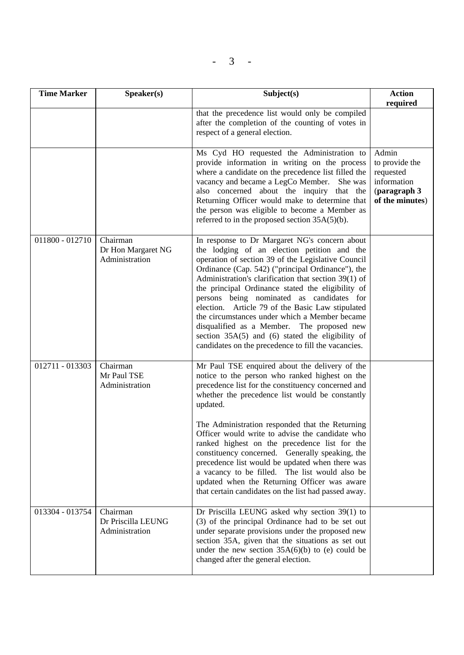$- 3 -$ 

| <b>Time Marker</b> | Speaker(s)                                       | Subject(s)                                                                                                                                                                                                                                                                                                                                                                                                                                                                                                                                                                                                                                   | <b>Action</b><br>required                                                              |
|--------------------|--------------------------------------------------|----------------------------------------------------------------------------------------------------------------------------------------------------------------------------------------------------------------------------------------------------------------------------------------------------------------------------------------------------------------------------------------------------------------------------------------------------------------------------------------------------------------------------------------------------------------------------------------------------------------------------------------------|----------------------------------------------------------------------------------------|
|                    |                                                  | that the precedence list would only be compiled<br>after the completion of the counting of votes in<br>respect of a general election.                                                                                                                                                                                                                                                                                                                                                                                                                                                                                                        |                                                                                        |
|                    |                                                  | Ms Cyd HO requested the Administration to<br>provide information in writing on the process<br>where a candidate on the precedence list filled the<br>vacancy and became a LegCo Member. She was<br>also concerned about the inquiry that the<br>Returning Officer would make to determine that<br>the person was eligible to become a Member as<br>referred to in the proposed section $35A(5)(b)$ .                                                                                                                                                                                                                                         | Admin<br>to provide the<br>requested<br>information<br>(paragraph 3<br>of the minutes) |
| 011800 - 012710    | Chairman<br>Dr Hon Margaret NG<br>Administration | In response to Dr Margaret NG's concern about<br>the lodging of an election petition and the<br>operation of section 39 of the Legislative Council<br>Ordinance (Cap. 542) ("principal Ordinance"), the<br>Administration's clarification that section 39(1) of<br>the principal Ordinance stated the eligibility of<br>persons being nominated as candidates for<br>election. Article 79 of the Basic Law stipulated<br>the circumstances under which a Member became<br>disqualified as a Member. The proposed new<br>section $35A(5)$ and $(6)$ stated the eligibility of<br>candidates on the precedence to fill the vacancies.          |                                                                                        |
| 012711 - 013303    | Chairman<br>Mr Paul TSE<br>Administration        | Mr Paul TSE enquired about the delivery of the<br>notice to the person who ranked highest on the<br>precedence list for the constituency concerned and<br>whether the precedence list would be constantly<br>updated.<br>The Administration responded that the Returning<br>Officer would write to advise the candidate who<br>ranked highest on the precedence list for the<br>constituency concerned. Generally speaking, the<br>precedence list would be updated when there was<br>a vacancy to be filled. The list would also be<br>updated when the Returning Officer was aware<br>that certain candidates on the list had passed away. |                                                                                        |
| 013304 - 013754    | Chairman<br>Dr Priscilla LEUNG<br>Administration | Dr Priscilla LEUNG asked why section 39(1) to<br>(3) of the principal Ordinance had to be set out<br>under separate provisions under the proposed new<br>section 35A, given that the situations as set out<br>under the new section $35A(6)(b)$ to (e) could be<br>changed after the general election.                                                                                                                                                                                                                                                                                                                                       |                                                                                        |